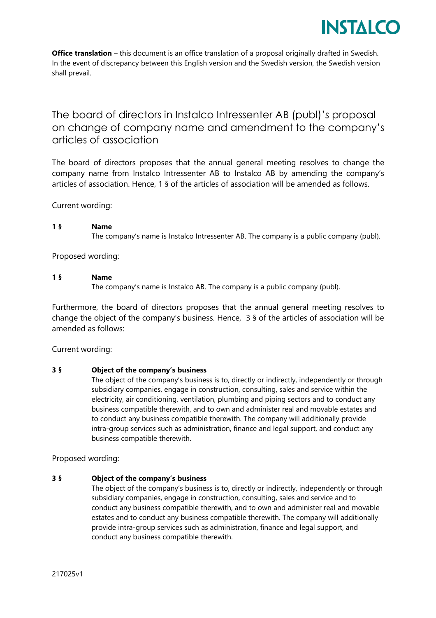

# The board of directors in Instalco Intressenter AB (publ)'s proposal on change of company name and amendment to the company's articles of association

The board of directors proposes that the annual general meeting resolves to change the company name from Instalco Intressenter AB to Instalco AB by amending the company's articles of association. Hence, 1 § of the articles of association will be amended as follows.

Current wording:

#### **1 § Name**

The company's name is Instalco Intressenter AB. The company is a public company (publ).

Proposed wording:

# **1 § Name**

The company's name is Instalco AB. The company is a public company (publ).

Furthermore, the board of directors proposes that the annual general meeting resolves to change the object of the company's business. Hence, 3 § of the articles of association will be amended as follows:

Current wording:

# **3 § Object of the company's business**

The object of the company's business is to, directly or indirectly, independently or through subsidiary companies, engage in construction, consulting, sales and service within the electricity, air conditioning, ventilation, plumbing and piping sectors and to conduct any business compatible therewith, and to own and administer real and movable estates and to conduct any business compatible therewith. The company will additionally provide intra-group services such as administration, finance and legal support, and conduct any business compatible therewith.

Proposed wording:

# **3 § Object of the company's business**

The object of the company's business is to, directly or indirectly, independently or through subsidiary companies, engage in construction, consulting, sales and service and to conduct any business compatible therewith, and to own and administer real and movable estates and to conduct any business compatible therewith. The company will additionally provide intra-group services such as administration, finance and legal support, and conduct any business compatible therewith.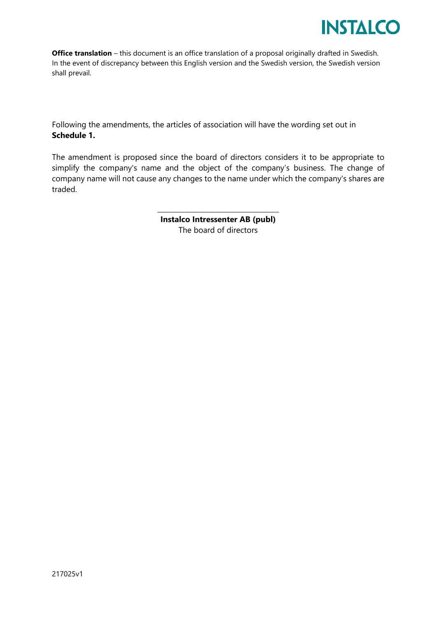

Following the amendments, the articles of association will have the wording set out in **Schedule 1.**

The amendment is proposed since the board of directors considers it to be appropriate to simplify the company's name and the object of the company's business. The change of company name will not cause any changes to the name under which the company's shares are traded.

> \_\_\_\_\_\_\_\_\_\_\_\_\_\_\_\_\_\_\_\_\_\_\_\_\_\_\_\_\_\_\_\_\_\_\_\_\_\_\_\_ **Instalco Intressenter AB (publ)** The board of directors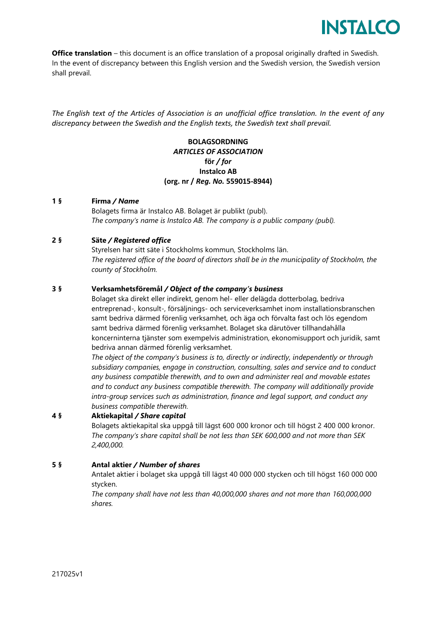

*The English text of the Articles of Association is an unofficial office translation. In the event of any discrepancy between the Swedish and the English texts, the Swedish text shall prevail.* 

# **BOLAGSORDNING** *ARTICLES OF ASSOCIATION* **för** */ for* **Instalco AB (org. nr /** *Reg. No.* **559015-8944)**

#### **1 § Firma** */ Name*

Bolagets firma är Instalco AB. Bolaget är publikt (publ). *The company's name is Instalco AB. The company is a public company (publ).*

# **2 § Säte** */ Registered office*

Styrelsen har sitt säte i Stockholms kommun, Stockholms län. *The registered office of the board of directors shall be in the municipality of Stockholm, the county of Stockholm.*

#### **3 § Verksamhetsföremål** */ Object of the company's business*

Bolaget ska direkt eller indirekt, genom hel- eller delägda dotterbolag, bedriva entreprenad-, konsult-, försäljnings- och serviceverksamhet inom installationsbranschen samt bedriva därmed förenlig verksamhet, och äga och förvalta fast och lös egendom samt bedriva därmed förenlig verksamhet. Bolaget ska därutöver tillhandahålla koncerninterna tjänster som exempelvis administration, ekonomisupport och juridik, samt bedriva annan därmed förenlig verksamhet.

*The object of the company's business is to, directly or indirectly, independently or through subsidiary companies, engage in construction, consulting, sales and service and to conduct any business compatible therewith, and to own and administer real and movable estates and to conduct any business compatible therewith. The company will additionally provide intra-group services such as administration, finance and legal support, and conduct any business compatible therewith.*

#### **4 § Aktiekapital** */ Share capital*

Bolagets aktiekapital ska uppgå till lägst 600 000 kronor och till högst 2 400 000 kronor. *The company's share capital shall be not less than SEK 600,000 and not more than SEK 2,400,000.*

#### **5 § Antal aktier** */ Number of shares*

Antalet aktier i bolaget ska uppgå till lägst 40 000 000 stycken och till högst 160 000 000 stycken.

*The company shall have not less than 40,000,000 shares and not more than 160,000,000 shares.*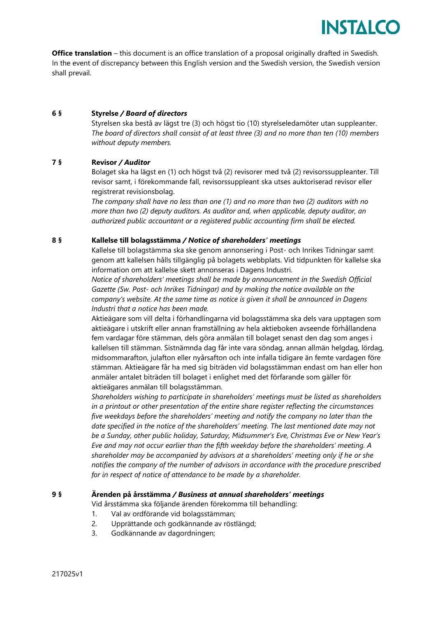

# **6 § Styrelse** */ Board of directors*

Styrelsen ska bestå av lägst tre (3) och högst tio (10) styrelseledamöter utan suppleanter. *The board of directors shall consist of at least three (3) and no more than ten (10) members without deputy members.*

# **7 § Revisor** */ Auditor*

Bolaget ska ha lägst en (1) och högst två (2) revisorer med två (2) revisorssuppleanter. Till revisor samt, i förekommande fall, revisorssuppleant ska utses auktoriserad revisor eller registrerat revisionsbolag.

*The company shall have no less than one (1) and no more than two (2) auditors with no more than two (2) deputy auditors. As auditor and, when applicable, deputy auditor, an authorized public accountant or a registered public accounting firm shall be elected.*

#### **8 § Kallelse till bolagsstämma** */ Notice of shareholders' meetings*

Kallelse till bolagstämma ska ske genom annonsering i Post- och Inrikes Tidningar samt genom att kallelsen hålls tillgänglig på bolagets webbplats. Vid tidpunkten för kallelse ska information om att kallelse skett annonseras i Dagens Industri.

*Notice of shareholders' meetings shall be made by announcement in the Swedish Official Gazette (Sw. Post- och Inrikes Tidningar) and by making the notice available on the company's website. At the same time as notice is given it shall be announced in Dagens Industri that a notice has been made.* 

Aktieägare som vill delta i förhandlingarna vid bolagsstämma ska dels vara upptagen som aktieägare i utskrift eller annan framställning av hela aktieboken avseende förhållandena fem vardagar före stämman, dels göra anmälan till bolaget senast den dag som anges i kallelsen till stämman. Sistnämnda dag får inte vara söndag, annan allmän helgdag, lördag, midsommarafton, julafton eller nyårsafton och inte infalla tidigare än femte vardagen före stämman. Aktieägare får ha med sig biträden vid bolagsstämman endast om han eller hon anmäler antalet biträden till bolaget i enlighet med det förfarande som gäller för aktieägares anmälan till bolagsstämman.

*Shareholders wishing to participate in shareholders' meetings must be listed as shareholders in a printout or other presentation of the entire share register reflecting the circumstances five weekdays before the shareholders' meeting and notify the company no later than the date specified in the notice of the shareholders' meeting. The last mentioned date may not be a Sunday, other public holiday, Saturday, Midsummer's Eve, Christmas Eve or New Year's Eve and may not occur earlier than the fifth weekday before the shareholders' meeting. A shareholder may be accompanied by advisors at a shareholders' meeting only if he or she notifies the company of the number of advisors in accordance with the procedure prescribed for in respect of notice of attendance to be made by a shareholder.* 

#### **9 § Ärenden på årsstämma** */ Business at annual shareholders' meetings*

Vid årsstämma ska följande ärenden förekomma till behandling:

- 1. Val av ordförande vid bolagsstämman;
- 2. Upprättande och godkännande av röstlängd;
- 3. Godkännande av dagordningen;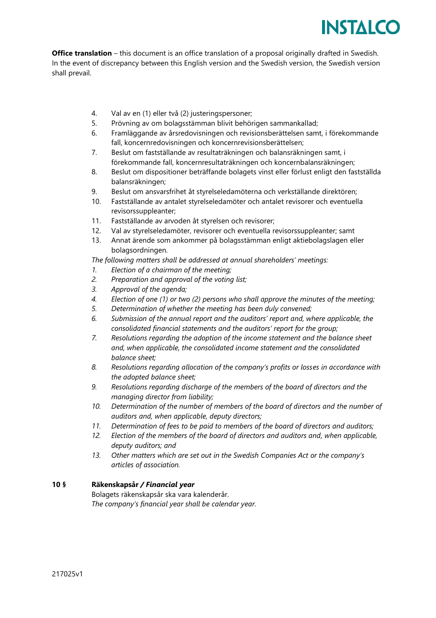

- 4. Val av en (1) eller två (2) justeringspersoner;
- 5. Prövning av om bolagsstämman blivit behörigen sammankallad;
- 6. Framläggande av årsredovisningen och revisionsberättelsen samt, i förekommande fall, koncernredovisningen och koncernrevisionsberättelsen;
- 7. Beslut om fastställande av resultaträkningen och balansräkningen samt, i förekommande fall, koncernresultaträkningen och koncernbalansräkningen;
- 8. Beslut om dispositioner beträffande bolagets vinst eller förlust enligt den fastställda balansräkningen;
- 9. Beslut om ansvarsfrihet åt styrelseledamöterna och verkställande direktören;
- 10. Fastställande av antalet styrelseledamöter och antalet revisorer och eventuella revisorssuppleanter;
- 11. Fastställande av arvoden åt styrelsen och revisorer;
- 12. Val av styrelseledamöter, revisorer och eventuella revisorssuppleanter; samt
- 13. Annat ärende som ankommer på bolagsstämman enligt aktiebolagslagen eller bolagsordningen.

*The following matters shall be addressed at annual shareholders' meetings:*

- *1. Election of a chairman of the meeting;*
- *2. Preparation and approval of the voting list;*
- *3. Approval of the agenda;*
- *4. Election of one (1) or two (2) persons who shall approve the minutes of the meeting;*
- *5. Determination of whether the meeting has been duly convened;*
- *6. Submission of the annual report and the auditors' report and, where applicable, the consolidated financial statements and the auditors' report for the group;*
- *7. Resolutions regarding the adoption of the income statement and the balance sheet and, when applicable, the consolidated income statement and the consolidated balance sheet;*
- *8. Resolutions regarding allocation of the company's profits or losses in accordance with the adopted balance sheet;*
- *9. Resolutions regarding discharge of the members of the board of directors and the managing director from liability;*
- *10. Determination of the number of members of the board of directors and the number of auditors and, when applicable, deputy directors;*
- *11. Determination of fees to be paid to members of the board of directors and auditors;*
- *12. Election of the members of the board of directors and auditors and, when applicable, deputy auditors; and*
- *13. Other matters which are set out in the Swedish Companies Act or the company's articles of association.*

#### **10 § Räkenskapsår** */ Financial year*

Bolagets räkenskapsår ska vara kalenderår. *The company's financial year shall be calendar year.*